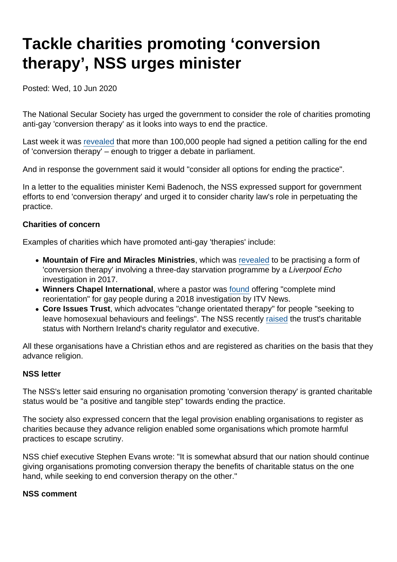# Tackle charities promoting 'conversion therapy', NSS urges minister

Posted: Wed, 10 Jun 2020

The National Secular Society has urged the government to consider the role of charities promoting anti-gay 'conversion therapy' as it looks into ways to end the practice.

Last week it was [revealed](https://www.bbc.co.uk/news/uk-politics-52936700) that more than 100,000 people had signed a petition calling for the end of 'conversion therapy' – enough to trigger a debate in parliament.

And in response the government said it would "consider all options for ending the practice".

In a letter to the equalities minister Kemi Badenoch, the NSS expressed support for government efforts to end 'conversion therapy' and urged it to consider charity law's role in perpetuating the practice.

### Charities of concern

Examples of charities which have promoted anti-gay 'therapies' include:

- Mountain of Fire and Miracles Ministries , which was [revealed](https://www.liverpoolecho.co.uk/news/liverpool-news/echo-goes-undercover-gay-cure-13468107) to be practising a form of 'conversion therapy' involving a three-day starvation programme by a Liverpool Echo investigation in 2017.
- Winners Chapel International , where a pastor was [found](https://www.itv.com/news/2018-11-12/an-itv-news-undercover-investigation-exposes-the-uk-church-that-claims-you-dont-have-to-be-gay/) offering "complete mind reorientation" for gay people during a 2018 investigation by ITV News.
- Core Issues Trust , which advocates "change orientated therapy" for people "seeking to leave homosexual behaviours and feelings". The NSS recently [raised](https://www.secularism.org.uk/news/2020/05/review-status-of-charity-promoting-conversion-therapy-nss-says) the trust's charitable status with Northern Ireland's charity regulator and executive.

All these organisations have a Christian ethos and are registered as charities on the basis that they advance religion.

### NSS letter

The NSS's letter said ensuring no organisation promoting 'conversion therapy' is granted charitable status would be "a positive and tangible step" towards ending the practice.

The society also expressed concern that the legal provision enabling organisations to register as charities because they advance religion enabled some organisations which promote harmful practices to escape scrutiny.

NSS chief executive Stephen Evans wrote: "It is somewhat absurd that our nation should continue giving organisations promoting conversion therapy the benefits of charitable status on the one hand, while seeking to end conversion therapy on the other."

NSS comment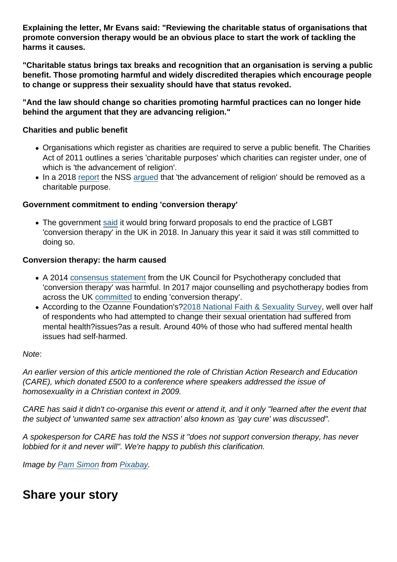Explaining the letter, Mr Evans said: "Reviewing the charitable status of organisations that promote conversion therapy would be an obvious place to start the work of tackling the harms it causes.

"Charitable status brings tax breaks and recognition that an organisation is serving a public benefit. Those promoting harmful and widely discredited therapies which encourage people to change or suppress their sexuality should have that status revoked.

"And the law should change so charities promoting harmful practices can no longer hide behind the argument that they are advancing religion."

Charities and public benefit

- Organisations which register as charities are required to serve a public benefit. The Charities Act of 2011 outlines a series 'charitable purposes' which charities can register under, one of which is 'the advancement of religion'.
- In a 2018 [report](https://www.secularism.org.uk/uploads/nss-advancement-of-religion-charity-report-(electronic).pdf) the NSS [argued](https://www.secularism.org.uk/news/2019/03/over-12000-charities-exist-only-to-promote-religion-nss-reveals) that 'the advancement of religion' should be removed as a charitable purpose.

Government commitment to ending 'conversion therapy'

• The government [said](https://www.secularism.org.uk/news/2018/07/nss-welcomes-government-plan-to-ban-lgbt-conversion-therapy) it would bring forward proposals to end the practice of LGBT 'conversion therapy' in the UK in 2018. In January this year it said it was still committed to doing so.

Conversion therapy: the harm caused

- A 2014 [consensus statement](https://www.secularism.org.uk/uploads/uk-council-for-psychotherapy-consensus-statement-on-conversion-therapy.pdf?v=1502895374) from the UK Council for Psychotherapy concluded that 'conversion therapy' was harmful. In 2017 major counselling and psychotherapy bodies from across the UK [committed](https://www.secularism.org.uk/uploads/memorandum-of-understanding-on-conversion-therapy-(2017).pdf?v=1516266672) to ending 'conversion therapy'.
- According to the Ozanne Foundation's[?2018 National Faith & Sexuality Survey,](https://ozanne.foundation/faith-sexuality-survey-2018/) well over half of respondents who had attempted to change their sexual orientation had suffered from mental health?issues?as a result. Around 40% of those who had suffered mental health issues had self-harmed.

Note:

An earlier version of this article mentioned the role of Christian Action Research and Education (CARE), which donated £500 to a conference where speakers addressed the issue of homosexuality in a Christian context in 2009.

CARE has said it didn't co-organise this event or attend it, and it only "learned after the event that the subject of 'unwanted same sex attraction' also known as 'gay cure' was discussed".

A spokesperson for CARE has told the NSS it "does not support conversion therapy, has never lobbied for it and never will". We're happy to publish this clarification.

Image by [Pam Simon](https://pixabay.com/users/pgbsimon-3023905/?utm_source=link-attribution&utm_medium=referral&utm_campaign=image&utm_content=1571621) from [Pixabay](https://pixabay.com/?utm_source=link-attribution&utm_medium=referral&utm_campaign=image&utm_content=1571621).

Share your story